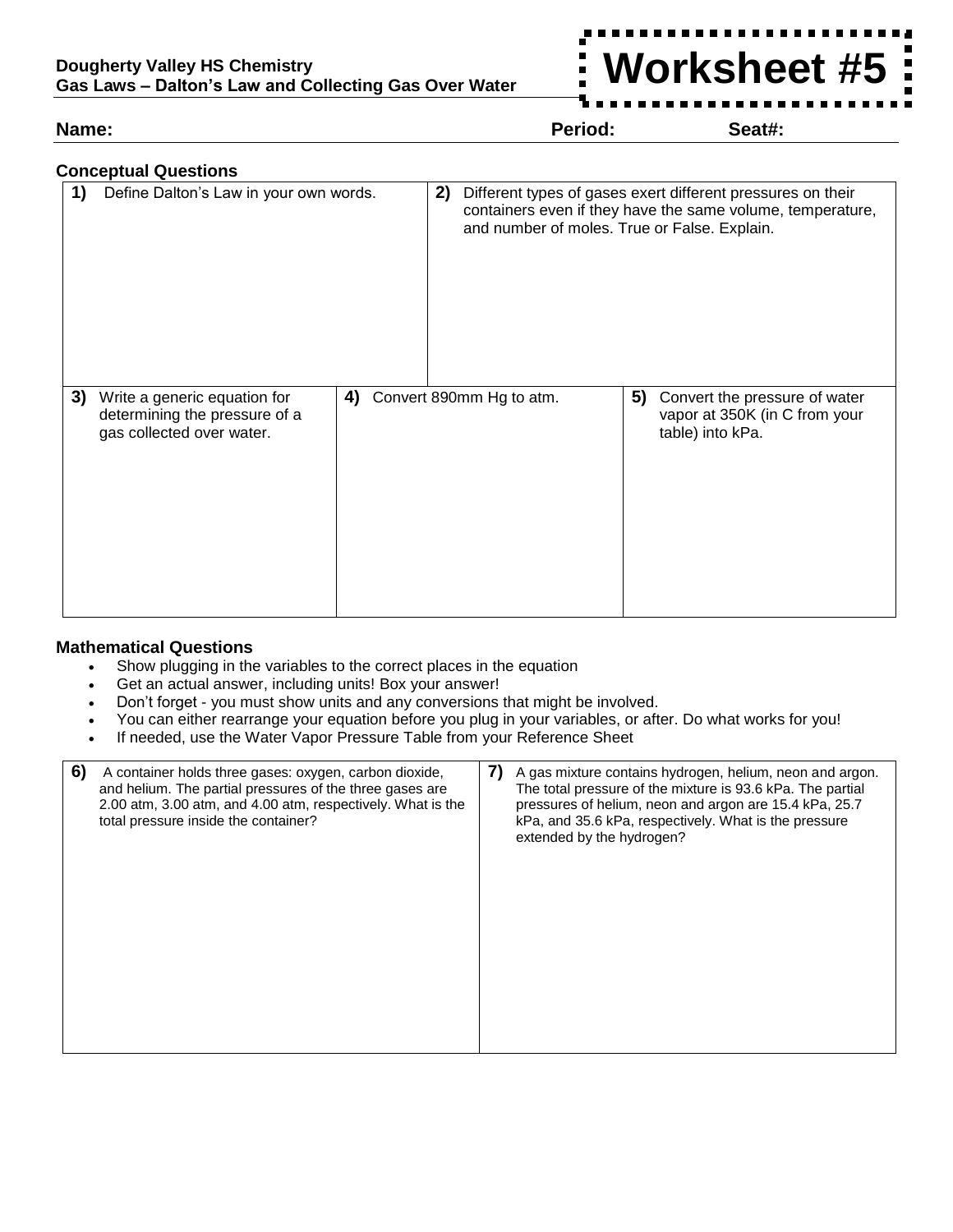

**Name: Period: Seat#:**

| 1) | Define Dalton's Law in your own words.                                                     |    | 2) | Different types of gases exert different pressures on their<br>containers even if they have the same volume, temperature,<br>and number of moles. True or False. Explain. |    |                                                                                    |
|----|--------------------------------------------------------------------------------------------|----|----|---------------------------------------------------------------------------------------------------------------------------------------------------------------------------|----|------------------------------------------------------------------------------------|
| 3) | Write a generic equation for<br>determining the pressure of a<br>gas collected over water. | 4) |    | Convert 890mm Hg to atm.                                                                                                                                                  | 5) | Convert the pressure of water<br>vapor at 350K (in C from your<br>table) into kPa. |

## **Mathematical Questions**

- Show plugging in the variables to the correct places in the equation
- Get an actual answer, including units! Box your answer!
- Don't forget you must show units and any conversions that might be involved.
- You can either rearrange your equation before you plug in your variables, or after. Do what works for you!
- If needed, use the Water Vapor Pressure Table from your Reference Sheet

| 6)<br>A container holds three gases: oxygen, carbon dioxide,<br>and helium. The partial pressures of the three gases are<br>2.00 atm, 3.00 atm, and 4.00 atm, respectively. What is the<br>total pressure inside the container? | <b>7</b><br>A gas mixture contains hydrogen, helium, neon and argon.<br>The total pressure of the mixture is 93.6 kPa. The partial<br>pressures of helium, neon and argon are 15.4 kPa, 25.7<br>kPa, and 35.6 kPa, respectively. What is the pressure<br>extended by the hydrogen? |
|---------------------------------------------------------------------------------------------------------------------------------------------------------------------------------------------------------------------------------|------------------------------------------------------------------------------------------------------------------------------------------------------------------------------------------------------------------------------------------------------------------------------------|